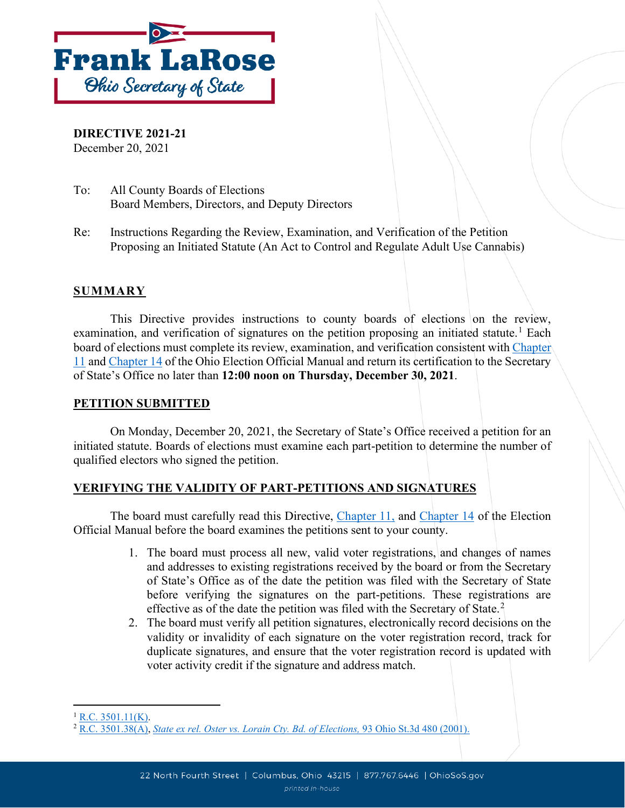

**DIRECTIVE 2021-21** December 20, 2021

- To: All County Boards of Elections Board Members, Directors, and Deputy Directors
- Re: Instructions Regarding the Review, Examination, and Verification of the Petition Proposing an Initiated Statute (An Act to Control and Regulate Adult Use Cannabis)

## **SUMMARY**

This Directive provides instructions to county boards of elections on the review, examination, and verification of signatures on the petition proposing an initiated statute.<sup>[1](#page-0-0)</sup> Each board of elections must complete its review, examination, and verification consistent with [Chapter](https://www.sos.state.oh.us/globalassets/elections/directives/2021/eom/eom_ch11_2021-02.pdf)  [11](https://www.sos.state.oh.us/globalassets/elections/directives/2021/eom/eom_ch11_2021-02.pdf) and [Chapter 14](https://www.sos.state.oh.us/globalassets/elections/directives/2021/eom/eom_ch14_2021-02.pdf) of the Ohio Election Official Manual and return its certification to the Secretary of State's Office no later than **12:00 noon on Thursday, December 30, 2021**.

### **PETITION SUBMITTED**

On Monday, December 20, 2021, the Secretary of State's Office received a petition for an initiated statute. Boards of elections must examine each part-petition to determine the number of qualified electors who signed the petition.

## **VERIFYING THE VALIDITY OF PART-PETITIONS AND SIGNATURES**

The board must carefully read this Directive, [Chapter 11,](https://www.sos.state.oh.us/globalassets/elections/directives/2021/eom/eom_ch11_2021-02.pdf) and [Chapter 14](https://www.sos.state.oh.us/globalassets/elections/directives/2021/eom/eom_ch14_2021-02.pdf) of the Election Official Manual before the board examines the petitions sent to your county.

- 1. The board must process all new, valid voter registrations, and changes of names and addresses to existing registrations received by the board or from the Secretary of State's Office as of the date the petition was filed with the Secretary of State before verifying the signatures on the part-petitions. These registrations are effective as of the date the petition was filed with the Secretary of State.<sup>[2](#page-0-1)</sup>
- 2. The board must verify all petition signatures, electronically record decisions on the validity or invalidity of each signature on the voter registration record, track for duplicate signatures, and ensure that the voter registration record is updated with voter activity credit if the signature and address match.

<span id="page-0-0"></span> $1$  [R.C. 3501.11\(K\).](https://codes.ohio.gov/ohio-revised-code/section-3501.11)

<span id="page-0-1"></span><sup>2</sup> [R.C. 3501.38\(A\),](http://codes.ohio.gov/orc/3501.38) *[State ex rel. Oster vs. Lorain Cty. Bd. of Elections,](https://www.supremecourt.ohio.gov/rod/docs/pdf/0/2001/2001-Ohio-1605.pdf)* 93 Ohio St.3d 480 (2001).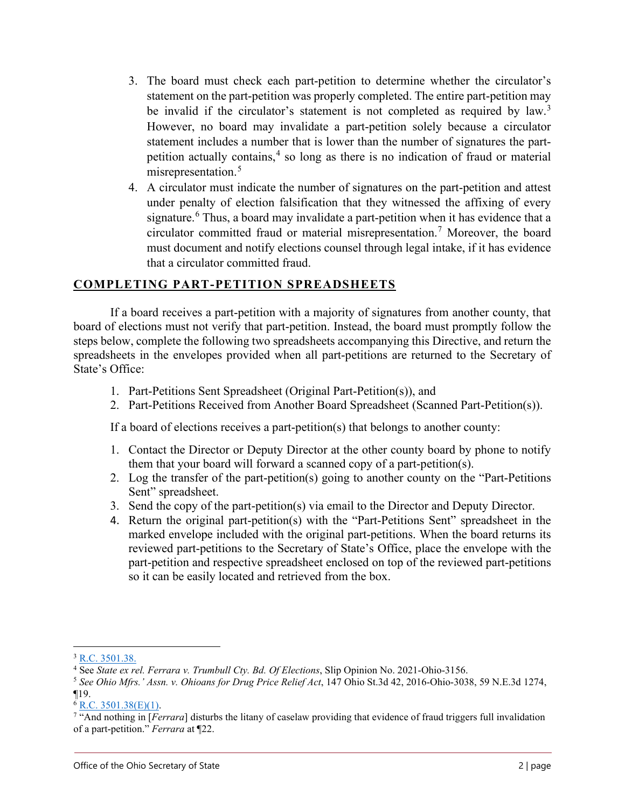- 3. The board must check each part-petition to determine whether the circulator's statement on the part-petition was properly completed. The entire part-petition may be invalid if the circulator's statement is not completed as required by law.<sup>[3](#page-1-0)</sup> However, no board may invalidate a part-petition solely because a circulator statement includes a number that is lower than the number of signatures the partpetition actually contains, [4](#page-1-1) so long as there is no indication of fraud or material misrepresentation.<sup>[5](#page-1-2)</sup>
- 4. A circulator must indicate the number of signatures on the part-petition and attest under penalty of election falsification that they witnessed the affixing of every signature.<sup>[6](#page-1-3)</sup> Thus, a board may invalidate a part-petition when it has evidence that a circulator committed fraud or material misrepresentation. [7](#page-1-4) Moreover, the board must document and notify elections counsel through legal intake, if it has evidence that a circulator committed fraud.

### **COMPLETING PART-PETITION SPREADSHEETS**

If a board receives a part-petition with a majority of signatures from another county, that board of elections must not verify that part-petition. Instead, the board must promptly follow the steps below, complete the following two spreadsheets accompanying this Directive, and return the spreadsheets in the envelopes provided when all part-petitions are returned to the Secretary of State's Office:

- 1. Part-Petitions Sent Spreadsheet (Original Part-Petition(s)), and
- 2. Part-Petitions Received from Another Board Spreadsheet (Scanned Part-Petition(s)).

If a board of elections receives a part-petition(s) that belongs to another county:

- 1. Contact the Director or Deputy Director at the other county board by phone to notify them that your board will forward a scanned copy of a part-petition(s).
- 2. Log the transfer of the part-petition(s) going to another county on the "Part-Petitions Sent" spreadsheet.
- 3. Send the copy of the part-petition(s) via email to the Director and Deputy Director.
- 4. Return the original part-petition(s) with the "Part-Petitions Sent" spreadsheet in the marked envelope included with the original part-petitions. When the board returns its reviewed part-petitions to the Secretary of State's Office, place the envelope with the part-petition and respective spreadsheet enclosed on top of the reviewed part-petitions so it can be easily located and retrieved from the box.

<span id="page-1-0"></span><sup>3</sup> [R.C. 3501.38.](http://codes.ohio.gov/orc/3501.38)

<span id="page-1-1"></span><sup>4</sup> See *State ex rel. Ferrara v. Trumbull Cty. Bd. Of Elections*, Slip Opinion No. 2021-Ohio-3156.

<span id="page-1-2"></span><sup>5</sup> *See Ohio Mfrs.' Assn. v. Ohioans for Drug Price Relief Act*, 147 Ohio St.3d 42, 2016-Ohio-3038, 59 N.E.3d 1274, ¶19.

<span id="page-1-3"></span> $6$  [R.C. 3501.38\(E\)\(1\).](https://codes.ohio.gov/ohio-revised-code/section-3501.38)

<span id="page-1-4"></span><sup>7</sup> "And nothing in [*Ferrara*] disturbs the litany of caselaw providing that evidence of fraud triggers full invalidation of a part-petition." *Ferrara* at ¶22.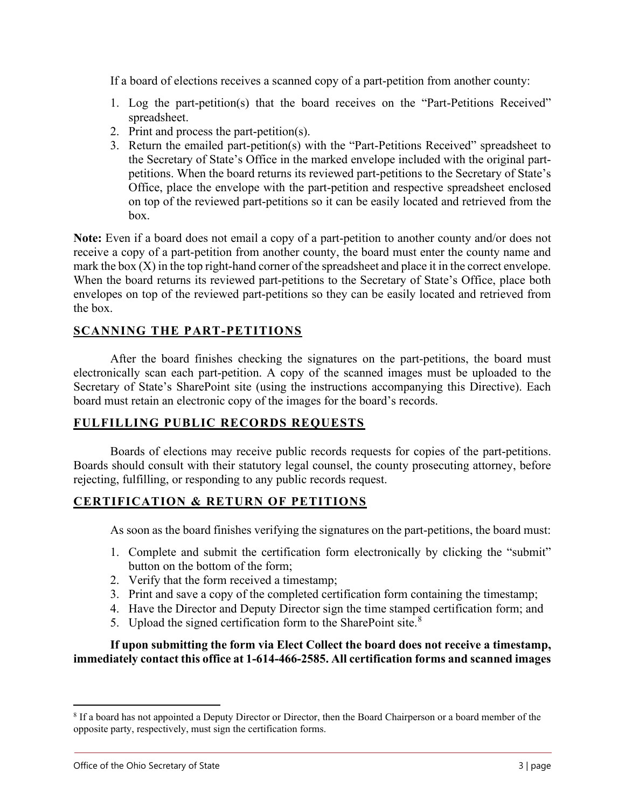If a board of elections receives a scanned copy of a part-petition from another county:

- 1. Log the part-petition(s) that the board receives on the "Part-Petitions Received" spreadsheet.
- 2. Print and process the part-petition(s).
- 3. Return the emailed part-petition(s) with the "Part-Petitions Received" spreadsheet to the Secretary of State's Office in the marked envelope included with the original partpetitions. When the board returns its reviewed part-petitions to the Secretary of State's Office, place the envelope with the part-petition and respective spreadsheet enclosed on top of the reviewed part-petitions so it can be easily located and retrieved from the box.

**Note:** Even if a board does not email a copy of a part-petition to another county and/or does not receive a copy of a part-petition from another county, the board must enter the county name and mark the box  $(X)$  in the top right-hand corner of the spreadsheet and place it in the correct envelope. When the board returns its reviewed part-petitions to the Secretary of State's Office, place both envelopes on top of the reviewed part-petitions so they can be easily located and retrieved from the box.

# **SCANNING THE PART-PETITIONS**

After the board finishes checking the signatures on the part-petitions, the board must electronically scan each part-petition. A copy of the scanned images must be uploaded to the Secretary of State's SharePoint site (using the instructions accompanying this Directive). Each board must retain an electronic copy of the images for the board's records.

# **FULFILLING PUBLIC RECORDS REQUESTS**

Boards of elections may receive public records requests for copies of the part-petitions. Boards should consult with their statutory legal counsel, the county prosecuting attorney, before rejecting, fulfilling, or responding to any public records request.

## **CERTIFICATION & RETURN OF PETITIONS**

As soon as the board finishes verifying the signatures on the part-petitions, the board must:

- 1. Complete and submit the certification form electronically by clicking the "submit" button on the bottom of the form;
- 2. Verify that the form received a timestamp;
- 3. Print and save a copy of the completed certification form containing the timestamp;
- 4. Have the Director and Deputy Director sign the time stamped certification form; and
- 5. Upload the signed certification form to the SharePoint site. $8$

### **If upon submitting the form via Elect Collect the board does not receive a timestamp, immediately contact [this](mailto:Results@OhioSoS.gov) office at 1-614-466-2585. All certification forms and scanned images**

<span id="page-2-0"></span><sup>8</sup> If a board has not appointed a Deputy Director or Director, then the Board Chairperson or a board member of the opposite party, respectively, must sign the certification forms.